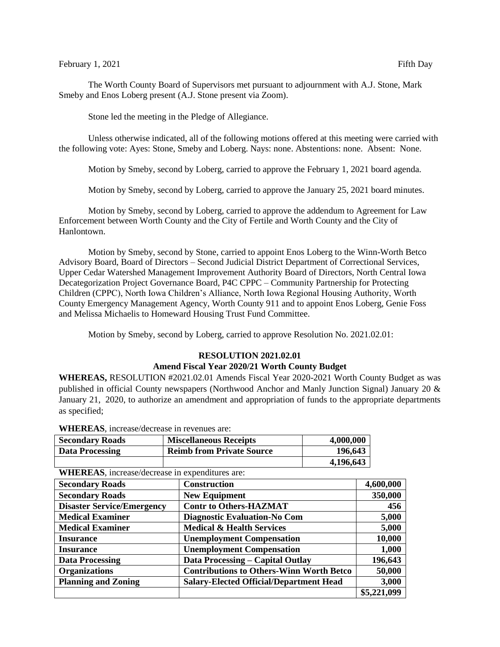## February 1, 2021 Fifth Day

The Worth County Board of Supervisors met pursuant to adjournment with A.J. Stone, Mark Smeby and Enos Loberg present (A.J. Stone present via Zoom).

Stone led the meeting in the Pledge of Allegiance.

Unless otherwise indicated, all of the following motions offered at this meeting were carried with the following vote: Ayes: Stone, Smeby and Loberg. Nays: none. Abstentions: none. Absent: None.

Motion by Smeby, second by Loberg, carried to approve the February 1, 2021 board agenda.

Motion by Smeby, second by Loberg, carried to approve the January 25, 2021 board minutes.

Motion by Smeby, second by Loberg, carried to approve the addendum to Agreement for Law Enforcement between Worth County and the City of Fertile and Worth County and the City of Hanlontown.

Motion by Smeby, second by Stone, carried to appoint Enos Loberg to the Winn-Worth Betco Advisory Board, Board of Directors – Second Judicial District Department of Correctional Services, Upper Cedar Watershed Management Improvement Authority Board of Directors, North Central Iowa Decategorization Project Governance Board, P4C CPPC – Community Partnership for Protecting Children (CPPC), North Iowa Children's Alliance, North Iowa Regional Housing Authority, Worth County Emergency Management Agency, Worth County 911 and to appoint Enos Loberg, Genie Foss and Melissa Michaelis to Homeward Housing Trust Fund Committee.

Motion by Smeby, second by Loberg, carried to approve Resolution No. 2021.02.01:

## **RESOLUTION 2021.02.01**

## **Amend Fiscal Year 2020/21 Worth County Budget**

**WHEREAS,** RESOLUTION #2021.02.01 Amends Fiscal Year 2020-2021 Worth County Budget as was published in official County newspapers (Northwood Anchor and Manly Junction Signal) January 20 & January 21, 2020, to authorize an amendment and appropriation of funds to the appropriate departments as specified;

| 196,643   |
|-----------|
| 4,196,643 |
|           |

|        |  | WHEREAS, increase/decrease in revenues are: |              |  |
|--------|--|---------------------------------------------|--------------|--|
| $\sim$ |  |                                             | $\mathbf{r}$ |  |

| " "Alliania", mortuota attribuot in thpenuntus urt. |                                                 |             |  |  |  |  |
|-----------------------------------------------------|-------------------------------------------------|-------------|--|--|--|--|
| <b>Secondary Roads</b>                              | <b>Construction</b>                             | 4,600,000   |  |  |  |  |
| <b>Secondary Roads</b>                              | <b>New Equipment</b>                            | 350,000     |  |  |  |  |
| <b>Disaster Service/Emergency</b>                   | <b>Contr to Others-HAZMAT</b>                   | 456         |  |  |  |  |
| <b>Medical Examiner</b>                             | <b>Diagnostic Evaluation-No Com</b>             | 5,000       |  |  |  |  |
| <b>Medical Examiner</b>                             | <b>Medical &amp; Health Services</b>            | 5,000       |  |  |  |  |
| <b>Insurance</b>                                    | <b>Unemployment Compensation</b>                | 10,000      |  |  |  |  |
| <b>Insurance</b>                                    | <b>Unemployment Compensation</b>                | 1,000       |  |  |  |  |
| <b>Data Processing</b>                              | <b>Data Processing – Capital Outlay</b>         | 196,643     |  |  |  |  |
| <b>Organizations</b>                                | <b>Contributions to Others-Winn Worth Betco</b> | 50,000      |  |  |  |  |
| <b>Planning and Zoning</b>                          | <b>Salary-Elected Official/Department Head</b>  | 3,000       |  |  |  |  |
|                                                     |                                                 | \$5,221,099 |  |  |  |  |